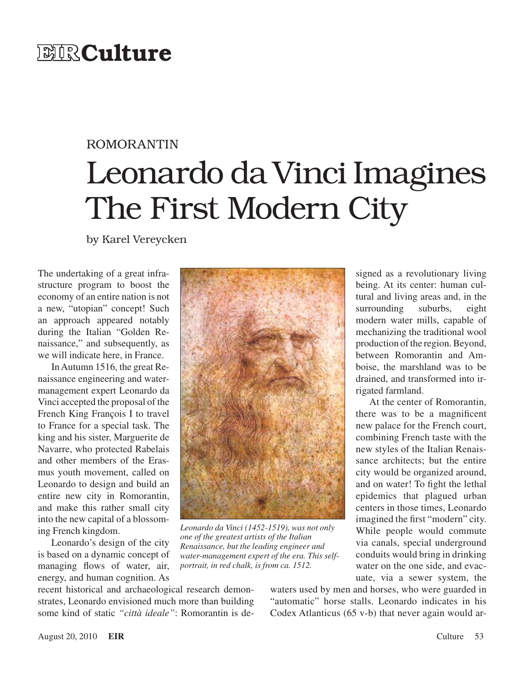## **EIR**Culture

## ROMORANTIN

# Leonardo da Vinci Imagines The First Modern City

by Karel Vereycken

The undertaking of a great infrastructure program to boost the economy of an entire nation is not a new, "utopian" concept! Such an approach appeared notably during the Italian "Golden Renaissance," and subsequently, as we will indicate here, in France.

In Autumn 1516, the great Renaissance engineering and watermanagement expert Leonardo da Vinci accepted the proposal of the French King François I to travel to France for a special task. The king and his sister, Marguerite de Navarre, who protected Rabelais and other members of the Erasmus youth movement, called on Leonardo to design and build an entire new city in Romorantin, and make this rather small city into the new capital of a blossoming French kingdom.

Leonardo's design of the city is based on a dynamic concept of managing flows of water, air, energy, and human cognition. As



*Leonardo da Vinci (1452-1519), was not only one of the greatest artists of the Italian Renaissance, but the leading engineer and water-management expert of the era. This selfportrait, in red chalk, is from ca. 1512.*

signed as a revolutionary living being. At its center: human cultural and living areas and, in the surrounding suburbs, eight modern water mills, capable of mechanizing the traditional wool production of the region. Beyond, between Romorantin and Amboise, the marshland was to be drained, and transformed into irrigated farmland.

At the center of Romorantin, there was to be a magnificent new palace for the French court, combining French taste with the new styles of the Italian Renaissance architects; but the entire city would be organized around, and on water! To fight the lethal epidemics that plagued urban centers in those times, Leonardo imagined the first "modern" city. While people would commute via canals, special underground conduits would bring in drinking water on the one side, and evacuate, via a sewer system, the

recent historical and archaeological research demonstrates, Leonardo envisioned much more than building some kind of static *"città ideale"*: Romorantin is de-

waters used by men and horses, who were guarded in "automatic" horse stalls. Leonardo indicates in his Codex Atlanticus (65 v-b) that never again would ar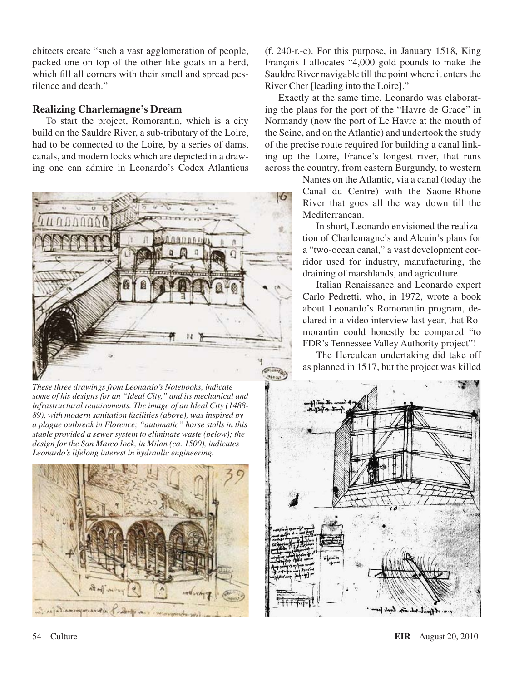chitects create "such a vast agglomeration of people, packed one on top of the other like goats in a herd, which fill all corners with their smell and spread pestilence and death."

#### **Realizing Charlemagne's Dream**

To start the project, Romorantin, which is a city build on the Sauldre River, a sub-tributary of the Loire, had to be connected to the Loire, by a series of dams, canals, and modern locks which are depicted in a drawing one can admire in Leonardo's Codex Atlanticus



*These three drawings from Leonardo's Notebooks, indicate some of his designs for an "Ideal City," and its mechanical and infrastructural requirements. The image of an Ideal City (1488- 89), with modern sanitation facilities (above), was inspired by a plague outbreak in Florence; "automatic" horse stalls in this stable provided a sewer system to eliminate waste (below); the design for the San Marco lock, in Milan (ca. 1500), indicates Leonardo's lifelong interest in hydraulic engineering.*



(f. 240-r.-c). For this purpose, in January 1518, King François I allocates "4,000 gold pounds to make the Sauldre River navigable till the point where it enters the River Cher [leading into the Loire]."

Exactly at the same time, Leonardo was elaborating the plans for the port of the "Havre de Grace" in Normandy (now the port of Le Havre at the mouth of the Seine, and on the Atlantic) and undertook the study of the precise route required for building a canal linking up the Loire, France's longest river, that runs across the country, from eastern Burgundy, to western

> Nantes on the Atlantic, via a canal (today the Canal du Centre) with the Saone-Rhone River that goes all the way down till the Mediterranean.

> In short, Leonardo envisioned the realization of Charlemagne's and Alcuin's plans for a "two-ocean canal," a vast development corridor used for industry, manufacturing, the draining of marshlands, and agriculture.

> Italian Renaissance and Leonardo expert Carlo Pedretti, who, in 1972, wrote a book about Leonardo's Romorantin program, declared in a video interview last year, that Romorantin could honestly be compared "to FDR's Tennessee Valley Authority project"!

> The Herculean undertaking did take off as planned in 1517, but the project was killed